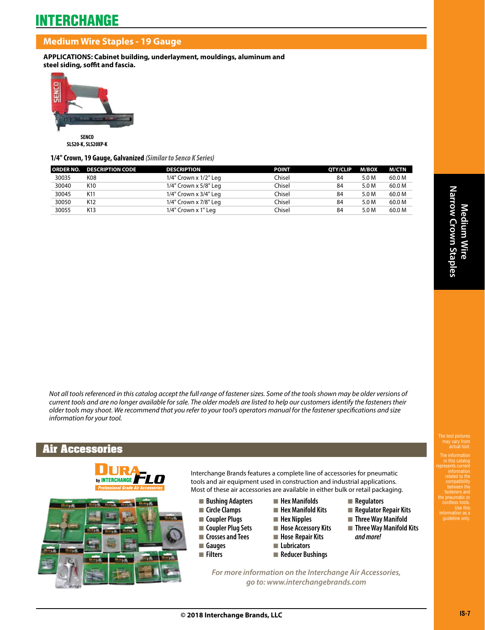## **Medium Wire Staples - 19 Gauge**

**APPLICATIONS: Cabinet building, underlayment, mouldings, aluminum and steel siding, soffit and fascia.**



**SLS20-K, SLS20XP-K**

### **1/4" Crown, 19 Gauge, Galvanized** *(Similar to Senco K Series)*

|       | <b>ORDER NO. DESCRIPTION CODE</b> | <b>DESCRIPTION</b>    | <b>POINT</b>  | <b>OTY/CLIP</b> | M/BOX | M/CTN  |
|-------|-----------------------------------|-----------------------|---------------|-----------------|-------|--------|
| 30035 | K08                               | 1/4" Crown x 1/2" Leg | Chisel        | 84              | 5.0 M | 60.0 M |
| 30040 | K10                               | 1/4" Crown x 5/8" Leg | Chisel        | 84              | 5.0 M | 60.0 M |
| 30045 | K11                               | 1/4" Crown x 3/4" Leg | <b>Chisel</b> | 84              | 5.0 M | 60.0 M |
| 30050 | K12                               | 1/4" Crown x 7/8" Leg | Chisel        | 84              | 5.0 M | 60.0 M |
| 30055 | K13                               | 1/4" Crown x 1" Leg   | Chisel        | 84              | 5.0 M | 60.0 M |

*Not all tools referenced in this catalog accept the full range of fastener sizes. Some of the tools shown may be older versions of current tools and are no longer available for sale. The older models are listed to help our customers identify the fasteners their older tools may shoot. We recommend that you refer to your tool's operators manual for the fastener specifications and size information for your tool.*

## **Air Accessories**





Interchange Brands features a complete line of accessories for pneumatic tools and air equipment used in construction and industrial applications. Most of these air accessories are available in either bulk or retail packaging.

- **n** Bushing Adapters
- **n** Circle Clamps
- **n** Coupler Plugs
- **n** Coupler Plug Sets
- **n** Crosses and Tees
- n **Gauges**
- n **Filters**
- $\blacksquare$  **Hex Manifolds n** Hex Manifold Kits
- 
- **n** Hex Nipples
- **n** Hose Accessory Kits
- $\blacksquare$  **Hose Repair Kits**
- **n** Lubricators
- **n** Reducer Bushings
- **n** Regulators
- **n** Regulator Repair Kits
- **n** Three Way Manifold
- **n** Three Way Manifold Kits *and more!*

*For more information on the Interchange Air Accessories, go to: www.interchangebrands.com*

between the fasteners and the pneumatic or cordless tools. Use this guideline only.

The tool pictures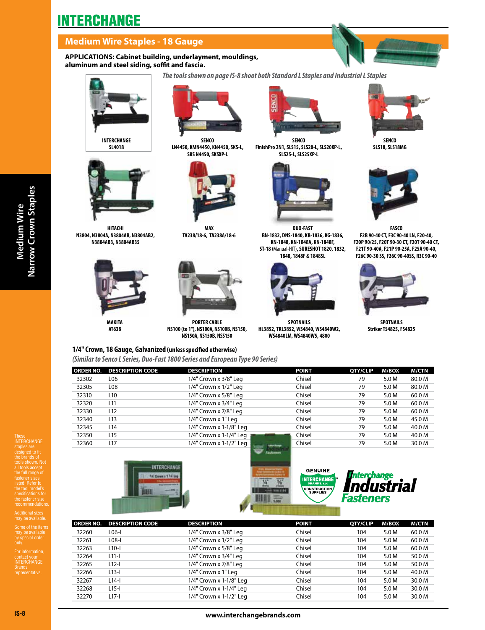# **INTERCHANGE**

# **Medium Wire Staples - 18 Gauge**

### **APPLICATIONS: Cabinet building, underlayment, mouldings, aluminum and steel siding, soffit and fascia.**

*The tools shown on page IS-8 shoot both Standard L Staples and Industrial L Staples*



**SL4018** 



**HITACHI N3804, N3804A, N3804AB, N3804AB2, N3804AB3, N3804AB3S**



**MAKITA AT638** 



**SENCO LN4450, KMN4450, KN4450, SKS-L, SKS N4450, SKSXP-L**



**MAX TA238/18-6, TA238A/18-6**



**PORTER CABLE NS100 (to 1"), NS100A, NS100B, NS150, NS150A, NS150B, NSS150**



**SENCO FinishPro 2N1, SLS15, SLS20-L, SLS20XP-L, SLS25-L, SLS25XP-L**



**DUO-FAST BN-1832, DNS-1840, KB-1836, KG-1836, KN-1848, KN-1848A, KN-1848F, ST-18** (Manual-HIT)**, SURESHOT 1820, 1832, 1848, 1848F & 1848SL**



**SPOTNAILS HL3852, TRL3852, WS4840, WS4840W2, WS4840LM, WS4840W5, 4800**



**SENCO SLS18, SLS18MG**



**FASCO F2B 90-40 CT, F3C 90-40 LN, F20-40, F20P 90/25, F20T 90-30 CT, F20T 90-40 CT, F21T 90-40A, F21P 90-25A, F25A 90-40, F26C 90-30 SS, F26C 90-40SS, R3C 90-40**



**SPOTNAILS Striker TS4825, FS4825**

|       | ORDER NO. DESCRIPTION CODE | <b>DESCRIPTION</b>      | <b>POINT</b> | QTY/CLIP | M/BOX | <b>M/CTN</b> |
|-------|----------------------------|-------------------------|--------------|----------|-------|--------------|
| 32302 | L06                        | 1/4" Crown x 3/8" Leg   | Chisel       | 79       | 5.0 M | 80.0 M       |
| 32305 | L <sub>08</sub>            | 1/4" Crown x 1/2" Leg   | Chisel       | 79       | 5.0 M | 80.0 M       |
| 32310 | L <sub>10</sub>            | 1/4" Crown x 5/8" Leg   | Chisel       | 79       | 5.0 M | 60.0 M       |
| 32320 | L <sub>11</sub>            | 1/4" Crown x 3/4" Leg   | Chisel       | 79       | 5.0 M | 60.0 M       |
| 32330 | L <sub>12</sub>            | 1/4" Crown x 7/8" Leg   | Chisel       | 79       | 5.0 M | 60.0 M       |
| 32340 | L <sub>13</sub>            | 1/4" Crown x 1" Leg     | Chisel       | 79       | 5.0 M | 45.0 M       |
| 32345 | L <sub>14</sub>            | 1/4" Crown x 1-1/8" Leg | Chisel       | 79       | 5.0 M | 40.0 M       |
| 32350 | L <sub>15</sub>            | 1/4" Crown x 1-1/4" Leg | Chisel       | 79       | 5.0 M | 40.0 M       |
| 32360 | L <sub>17</sub>            | 1/4" Crown x 1-1/2" Leg | Chisel       | 79       | 5.0 M | 30.0 M       |

These INTERCHANGE

designed to fit the brands of tools shown. Not all tools accept the full range of fastener sizes listed. Refer to the tool model's the fastener size

Additional sizes may be available.

may be available<br>by special order

contact your<br>INTERCHANGE Brands representative.



**1/4" Crown, 18 Gauge, Galvanized (unless specified otherwise)** 

*(Similar to Senco L Series, Duo-Fast 1800 Series and European Type 90 Series)*





| ORDER NO. | <b>DESCRIPTION CODE</b> | <b>DESCRIPTION</b>      | <b>POINT</b> | QTY/CLIP | <b>M/BOX</b> | M/CTN  |
|-----------|-------------------------|-------------------------|--------------|----------|--------------|--------|
| 32260     | $L06-1$                 | 1/4" Crown x 3/8" Leg   | Chisel       | 104      | 5.0 M        | 60.0 M |
| 32261     | $L08-1$                 | 1/4" Crown x 1/2" Leg   | Chisel       | 104      | 5.0 M        | 60.0 M |
| 32263     | $L10-I$                 | 1/4" Crown x 5/8" Leg   | Chisel       | 104      | 5.0 M        | 60.0 M |
| 32264     | $L11-I$                 | 1/4" Crown x 3/4" Leg   | Chisel       | 104      | 5.0 M        | 50.0 M |
| 32265     | $L12-I$                 | 1/4" Crown x 7/8" Leg   | Chisel       | 104      | 5.0 M        | 50.0 M |
| 32266     | $L13-I$                 | 1/4" Crown x 1" Leg     | Chisel       | 104      | 5.0 M        | 40.0 M |
| 32267     | $L14-I$                 | 1/4" Crown x 1-1/8" Leg | Chisel       | 104      | 5.0 M        | 30.0 M |
| 32268     | $L$ 15-l                | 1/4" Crown x 1-1/4" Leg | Chisel       | 104      | 5.0 M        | 30.0 M |
| 32270     | $L17-I$                 | 1/4" Crown x 1-1/2" Leg | Chisel       | 104      | 5.0 M        | 30.0 M |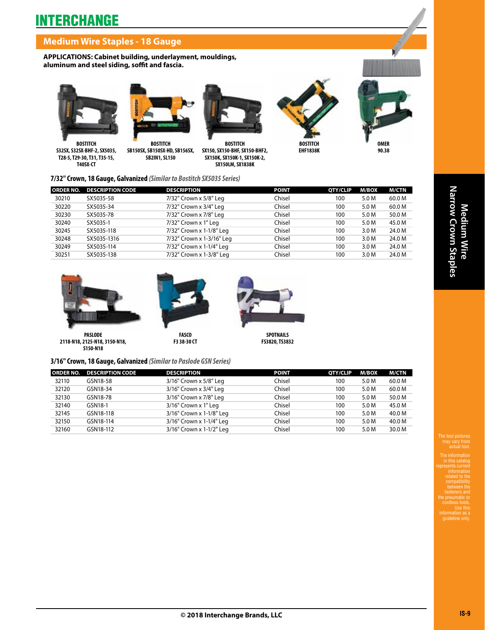# **INTERCHANGE**

## **Medium Wire Staples - 18 Gauge**

**APPLICATIONS: Cabinet building, underlayment, mouldings, aluminum and steel siding, soffit and fascia.**





**BOSTITCH S32SX, S32SX-BHF-2, SX5035, T28-5, T29-30, T31, T35-15, T40SX-CT** 

**BOSTITCH SB150SX, SB150SX-HD, SB156SX, SB2IN1, SL150**



**BOSTITCH SX150, SX150-BHF, SX150-BHF2, SX150K, SX150K-1, SX150K-2, SX150LM, SX1838K**



**EHF1838K**



**OMER 90.38**

**7/32" Crown, 18 Gauge, Galvanized** *(Similar to Bostitch SX5035 Series)*

| <b>ORDER NO.</b> | <b>DESCRIPTION CODE</b> | <b>DESCRIPTION</b>        | <b>POINT</b> | QTY/CLIP | <b>M/BOX</b> | <b>M/CTN</b> |
|------------------|-------------------------|---------------------------|--------------|----------|--------------|--------------|
| 30210            | SX5035-58               | 7/32" Crown x 5/8" Leg    | Chisel       | 100      | 5.0 M        | 60.0 M       |
| 30220            | SX5035-34               | 7/32" Crown x 3/4" Leg    | Chisel       | 100      | 5.0 M        | 60.0 M       |
| 30230            | SX5035-78               | 7/32" Crown x 7/8" Leg    | Chisel       | 100      | 5.0 M        | 50.0 M       |
| 30240            | SX5035-1                | 7/32" Crown x 1" Leg      | Chisel       | 100      | 5.0 M        | 45.0 M       |
| 30245            | SX5035-118              | 7/32" Crown x 1-1/8" Leg  | Chisel       | 100      | 3.0 M        | 24.0 M       |
| 30248            | SX5035-1316             | 7/32" Crown x 1-3/16" Leg | Chisel       | 100      | 3.0 M        | 24.0 M       |
| 30249            | SX5035-114              | 7/32" Crown x 1-1/4" Leg  | Chisel       | 100      | 3.0 M        | 24.0 M       |
| 30251            | SX5035-138              | 7/32" Crown x 1-3/8" Leg  | Chisel       | 100      | 3.0 M        | 24.0 M       |



**PASLODE 2118-N18, 2125-N18, 3150-N18, S150-N18**



**SPOTNAILS FS3820, TS3832**

### **3/16" Crown, 18 Gauge, Galvanized** *(Similar to Paslode GSN Series)*

| <b>ORDER NO.</b> | <b>DESCRIPTION CODE</b> | <b>DESCRIPTION</b>       | <b>POINT</b> | QTY/CLIP | <b>M/BOX</b> | M/CTN  |
|------------------|-------------------------|--------------------------|--------------|----------|--------------|--------|
| 32110            | GSN18-58                | 3/16" Crown x 5/8" Leg   | Chisel       | 100      | 5.0 M        | 60.0 M |
| 32120            | GSN18-34                | 3/16" Crown x 3/4" Leg   | Chisel       | 100      | 5.0 M        | 60.0 M |
| 32130            | GSN18-78                | 3/16" Crown x 7/8" Leg   | Chisel       | 100      | 5.0 M        | 50.0 M |
| 32140            | GSN18-1                 | 3/16" Crown x 1" Leg     | Chisel       | 100      | 5.0 M        | 45.0 M |
| 32145            | GSN18-118               | 3/16" Crown x 1-1/8" Leg | Chisel       | 100      | 5.0 M        | 40.0 M |
| 32150            | GSN18-114               | 3/16" Crown x 1-1/4" Leg | Chisel       | 100      | 5.0 M        | 40.0 M |
| 32160            | GSN18-112               | 3/16" Crown x 1-1/2" Leg | Chisel       | 100      | 5.0 M        | 30.0 M |

The tool pictures

The information in this catalog represents current related to the between the fasteners and the pneumatic or cordless tools. Use this information as a guideline only.